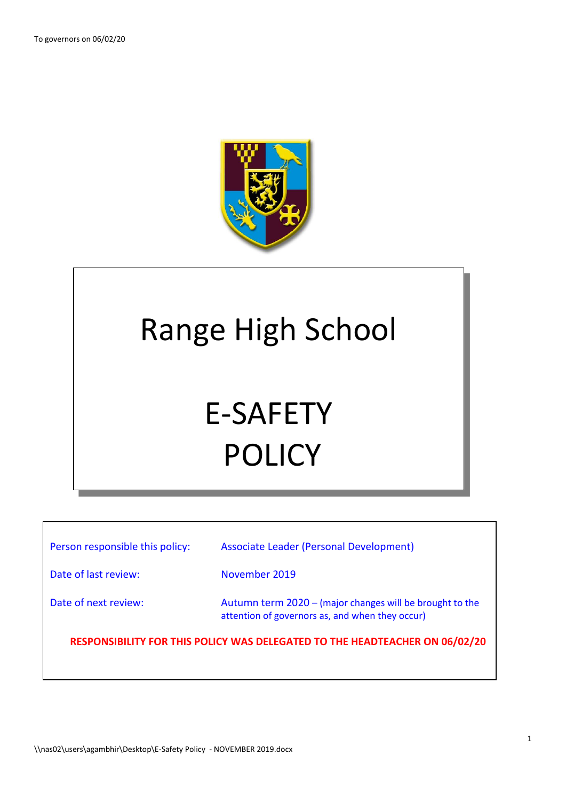$\lceil$ 



## Range High School

# E-SAFETY POLICY

| Person responsible this policy:                                             | Associate Leader (Personal Development)                                                                     |  |  |
|-----------------------------------------------------------------------------|-------------------------------------------------------------------------------------------------------------|--|--|
| Date of last review:                                                        | November 2019                                                                                               |  |  |
| Date of next review:                                                        | Autumn term 2020 – (major changes will be brought to the<br>attention of governors as, and when they occur) |  |  |
| RESPONSIBILITY FOR THIS POLICY WAS DELEGATED TO THE HEADTEACHER ON 06/02/20 |                                                                                                             |  |  |
|                                                                             |                                                                                                             |  |  |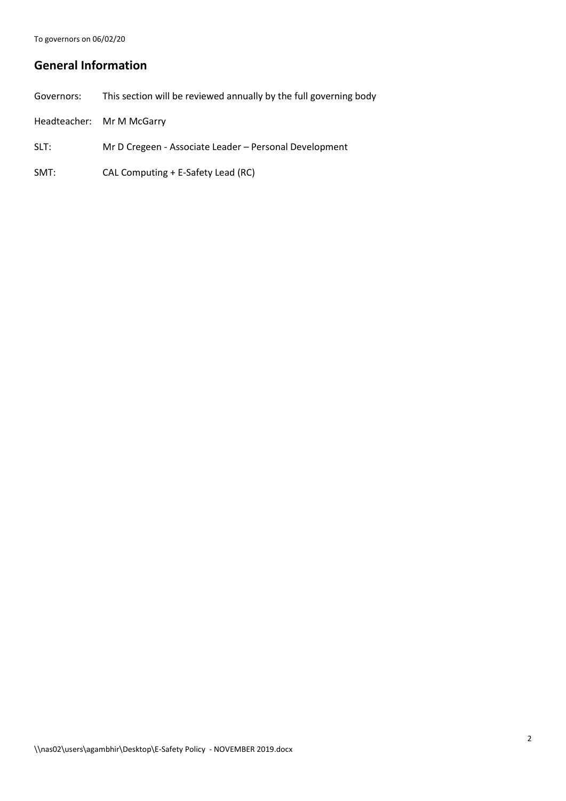## **General Information**

| Governors: | This section will be reviewed annually by the full governing body |
|------------|-------------------------------------------------------------------|
|            | Headteacher: Mr M McGarry                                         |

- SLT: Mr D Cregeen Associate Leader Personal Development
- SMT: CAL Computing + E-Safety Lead (RC)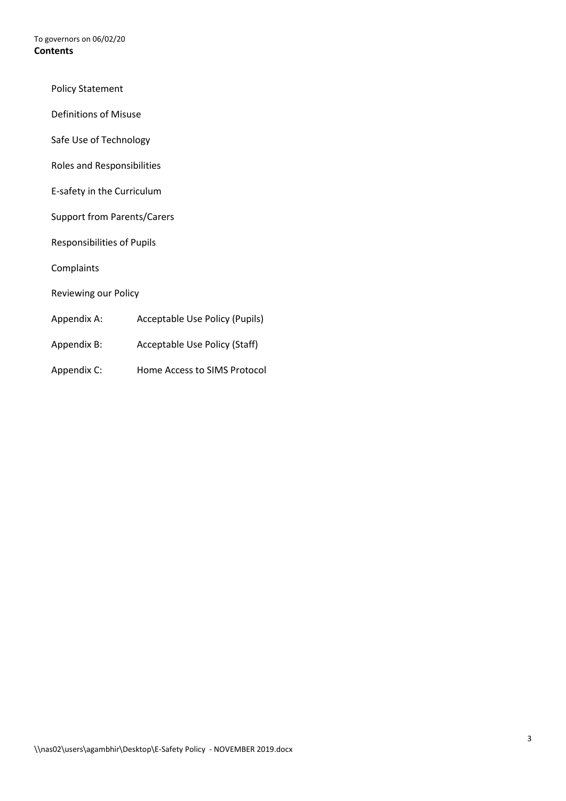To governors on 06/02/20 **Contents**

- Policy Statement
- Definitions of Misuse
- Safe Use of Technology
- Roles and Responsibilities
- E-safety in the Curriculum
- Support from Parents/Carers
- Responsibilities of Pupils
- **Complaints**
- Reviewing our Policy
- Appendix A: Acceptable Use Policy (Pupils)
- Appendix B: Acceptable Use Policy (Staff)
- Appendix C: Home Access to SIMS Protocol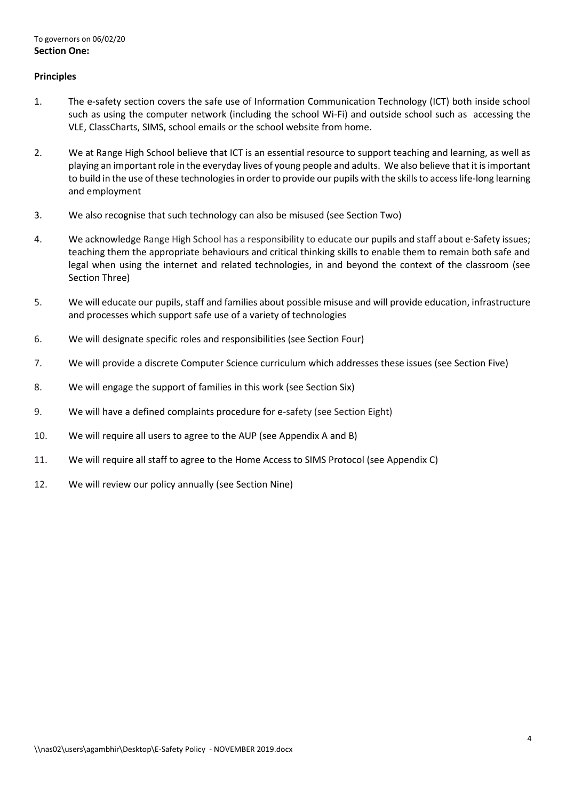## **Principles**

- 1. The e-safety section covers the safe use of Information Communication Technology (ICT) both inside school such as using the computer network (including the school Wi-Fi) and outside school such as accessing the VLE, ClassCharts, SIMS, school emails or the school website from home.
- 2. We at Range High School believe that ICT is an essential resource to support teaching and learning, as well as playing an important role in the everyday lives of young people and adults. We also believe that it is important to build in the use of these technologies in order to provide our pupils with the skills to access life-long learning and employment
- 3. We also recognise that such technology can also be misused (see Section Two)
- 4. We acknowledge Range High School has a responsibility to educate our pupils and staff about e-Safety issues; teaching them the appropriate behaviours and critical thinking skills to enable them to remain both safe and legal when using the internet and related technologies, in and beyond the context of the classroom (see Section Three)
- 5. We will educate our pupils, staff and families about possible misuse and will provide education, infrastructure and processes which support safe use of a variety of technologies
- 6. We will designate specific roles and responsibilities (see Section Four)
- 7. We will provide a discrete Computer Science curriculum which addresses these issues (see Section Five)
- 8. We will engage the support of families in this work (see Section Six)
- 9. We will have a defined complaints procedure for e-safety (see Section Eight)
- 10. We will require all users to agree to the AUP (see Appendix A and B)
- 11. We will require all staff to agree to the Home Access to SIMS Protocol (see Appendix C)
- 12. We will review our policy annually (see Section Nine)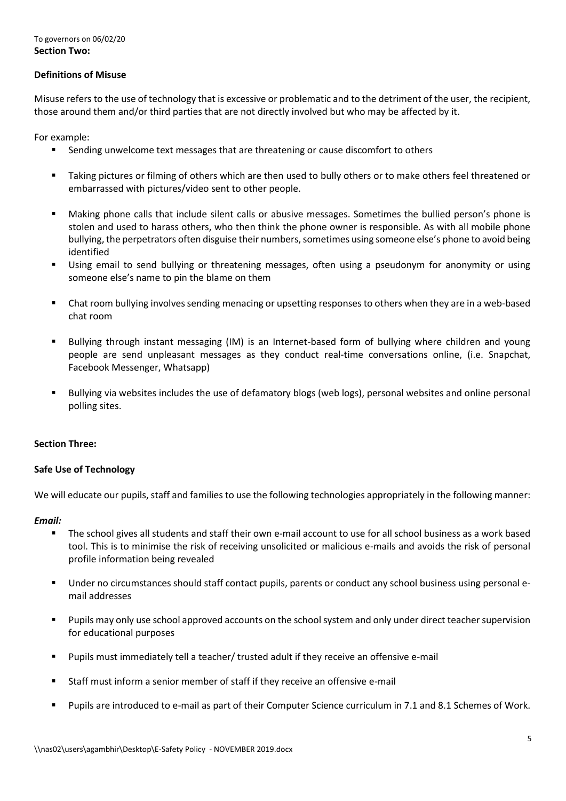## **Definitions of Misuse**

Misuse refers to the use of technology that is excessive or problematic and to the detriment of the user, the recipient, those around them and/or third parties that are not directly involved but who may be affected by it.

For example:

- Sending unwelcome text messages that are threatening or cause discomfort to others
- Taking pictures or filming of others which are then used to bully others or to make others feel threatened or embarrassed with pictures/video sent to other people.
- Making phone calls that include silent calls or abusive messages. Sometimes the bullied person's phone is stolen and used to harass others, who then think the phone owner is responsible. As with all mobile phone bullying, the perpetrators often disguise their numbers, sometimes using someone else's phone to avoid being identified
- Using email to send bullying or threatening messages, often using a pseudonym for anonymity or using someone else's name to pin the blame on them
- Chat room bullying involves sending menacing or upsetting responses to others when they are in a web-based chat room
- Bullying through instant messaging (IM) is an Internet-based form of bullying where children and young people are send unpleasant messages as they conduct real-time conversations online, (i.e. Snapchat, Facebook Messenger, Whatsapp)
- Bullying via websites includes the use of defamatory blogs (web logs), personal websites and online personal polling sites.

## **Section Three:**

## **Safe Use of Technology**

We will educate our pupils, staff and families to use the following technologies appropriately in the following manner:

## *Email:*

- The school gives all students and staff their own e-mail account to use for all school business as a work based tool. This is to minimise the risk of receiving unsolicited or malicious e-mails and avoids the risk of personal profile information being revealed
- Under no circumstances should staff contact pupils, parents or conduct any school business using personal email addresses
- Pupils may only use school approved accounts on the school system and only under direct teacher supervision for educational purposes
- Pupils must immediately tell a teacher/ trusted adult if they receive an offensive e-mail
- Staff must inform a senior member of staff if they receive an offensive e-mail
- Pupils are introduced to e-mail as part of their Computer Science curriculum in 7.1 and 8.1 Schemes of Work.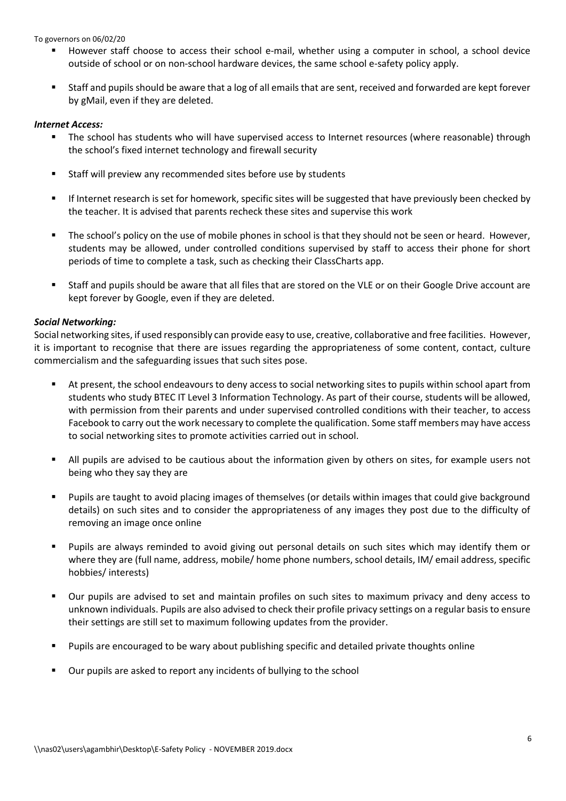- However staff choose to access their school e-mail, whether using a computer in school, a school device outside of school or on non-school hardware devices, the same school e-safety policy apply.
- Staff and pupils should be aware that a log of all emails that are sent, received and forwarded are kept forever by gMail, even if they are deleted.

## *Internet Access:*

- The school has students who will have supervised access to Internet resources (where reasonable) through the school's fixed internet technology and firewall security
- **EXECT:** Staff will preview any recommended sites before use by students
- If Internet research is set for homework, specific sites will be suggested that have previously been checked by the teacher. It is advised that parents recheck these sites and supervise this work
- The school's policy on the use of mobile phones in school is that they should not be seen or heard. However, students may be allowed, under controlled conditions supervised by staff to access their phone for short periods of time to complete a task, such as checking their ClassCharts app.
- Staff and pupils should be aware that all files that are stored on the VLE or on their Google Drive account are kept forever by Google, even if they are deleted.

## *Social Networking:*

Social networking sites, if used responsibly can provide easy to use, creative, collaborative and free facilities. However, it is important to recognise that there are issues regarding the appropriateness of some content, contact, culture commercialism and the safeguarding issues that such sites pose.

- At present, the school endeavours to deny access to social networking sites to pupils within school apart from students who study BTEC IT Level 3 Information Technology. As part of their course, students will be allowed, with permission from their parents and under supervised controlled conditions with their teacher, to access Facebook to carry out the work necessary to complete the qualification. Some staff members may have access to social networking sites to promote activities carried out in school.
- All pupils are advised to be cautious about the information given by others on sites, for example users not being who they say they are
- Pupils are taught to avoid placing images of themselves (or details within images that could give background details) on such sites and to consider the appropriateness of any images they post due to the difficulty of removing an image once online
- Pupils are always reminded to avoid giving out personal details on such sites which may identify them or where they are (full name, address, mobile/ home phone numbers, school details, IM/ email address, specific hobbies/ interests)
- Our pupils are advised to set and maintain profiles on such sites to maximum privacy and deny access to unknown individuals. Pupils are also advised to check their profile privacy settings on a regular basis to ensure their settings are still set to maximum following updates from the provider.
- Pupils are encouraged to be wary about publishing specific and detailed private thoughts online
- Our pupils are asked to report any incidents of bullying to the school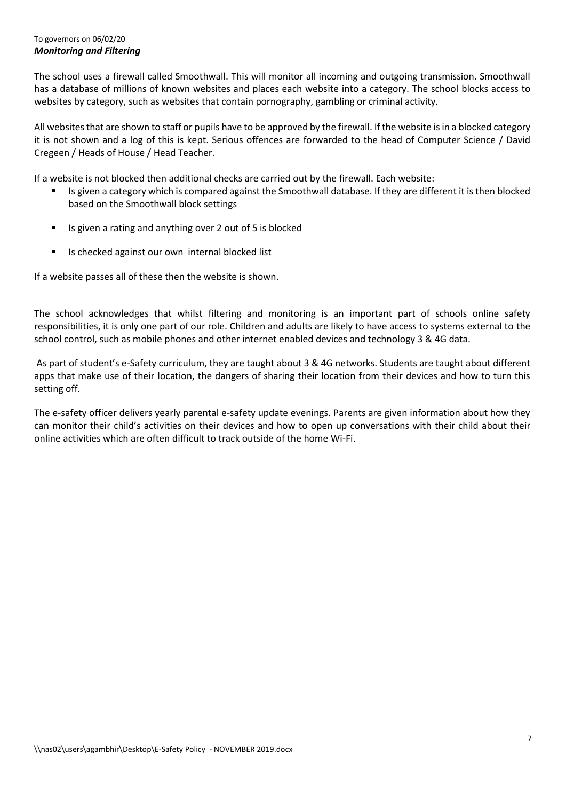## To governors on 06/02/20 *Monitoring and Filtering*

The school uses a firewall called Smoothwall. This will monitor all incoming and outgoing transmission. Smoothwall has a database of millions of known websites and places each website into a category. The school blocks access to websites by category, such as websites that contain pornography, gambling or criminal activity.

All websites that are shown to staff or pupils have to be approved by the firewall. If the website is in a blocked category it is not shown and a log of this is kept. Serious offences are forwarded to the head of Computer Science / David Cregeen / Heads of House / Head Teacher.

If a website is not blocked then additional checks are carried out by the firewall. Each website:

- Is given a category which is compared against the Smoothwall database. If they are different it is then blocked based on the Smoothwall block settings
- Is given a rating and anything over 2 out of 5 is blocked
- Is checked against our own internal blocked list

If a website passes all of these then the website is shown.

The school acknowledges that whilst filtering and monitoring is an important part of schools online safety responsibilities, it is only one part of our role. Children and adults are likely to have access to systems external to the school control, such as mobile phones and other internet enabled devices and technology 3 & 4G data.

As part of student's e-Safety curriculum, they are taught about 3 & 4G networks. Students are taught about different apps that make use of their location, the dangers of sharing their location from their devices and how to turn this setting off.

The e-safety officer delivers yearly parental e-safety update evenings. Parents are given information about how they can monitor their child's activities on their devices and how to open up conversations with their child about their online activities which are often difficult to track outside of the home Wi-Fi.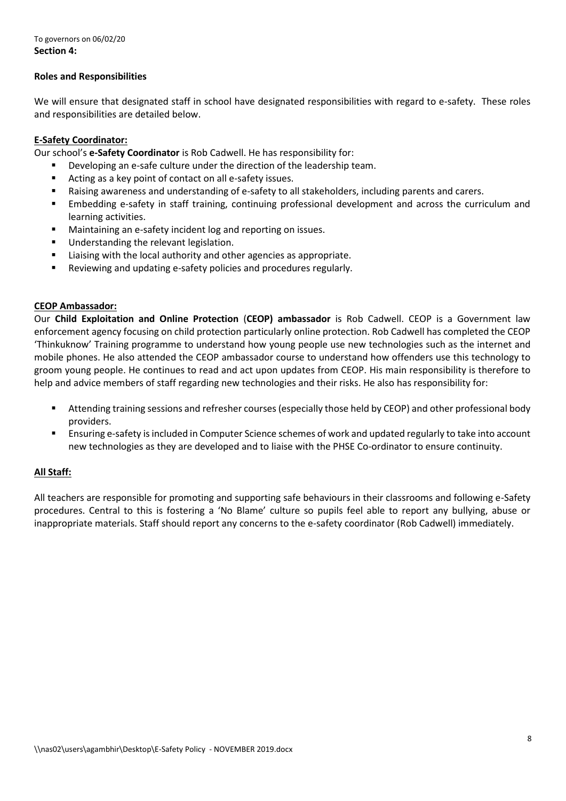## **Roles and Responsibilities**

We will ensure that designated staff in school have designated responsibilities with regard to e-safety. These roles and responsibilities are detailed below.

## **E-Safety Coordinator:**

Our school's **e-Safety Coordinator** is Rob Cadwell. He has responsibility for:

- Developing an e-safe culture under the direction of the leadership team.
- Acting as a key point of contact on all e-safety issues.
- Raising awareness and understanding of e-safety to all stakeholders, including parents and carers.
- Embedding e-safety in staff training, continuing professional development and across the curriculum and learning activities.
- Maintaining an e-safety incident log and reporting on issues.
- **Understanding the relevant legislation.**
- **EXECT** Liaising with the local authority and other agencies as appropriate.
- Reviewing and updating e-safety policies and procedures regularly.

## **CEOP Ambassador:**

Our **Child Exploitation and Online Protection** (**CEOP) ambassador** is Rob Cadwell. CEOP is a Government law enforcement agency focusing on child protection particularly online protection. Rob Cadwell has completed the CEOP 'Thinkuknow' Training programme to understand how young people use new technologies such as the internet and mobile phones. He also attended the CEOP ambassador course to understand how offenders use this technology to groom young people. He continues to read and act upon updates from CEOP. His main responsibility is therefore to help and advice members of staff regarding new technologies and their risks. He also has responsibility for:

- Attending training sessions and refresher courses (especially those held by CEOP) and other professional body providers.
- Ensuring e-safety is included in Computer Science schemes of work and updated regularly to take into account new technologies as they are developed and to liaise with the PHSE Co-ordinator to ensure continuity.

## **All Staff:**

All teachers are responsible for promoting and supporting safe behaviours in their classrooms and following e-Safety procedures. Central to this is fostering a 'No Blame' culture so pupils feel able to report any bullying, abuse or inappropriate materials. Staff should report any concerns to the e-safety coordinator (Rob Cadwell) immediately.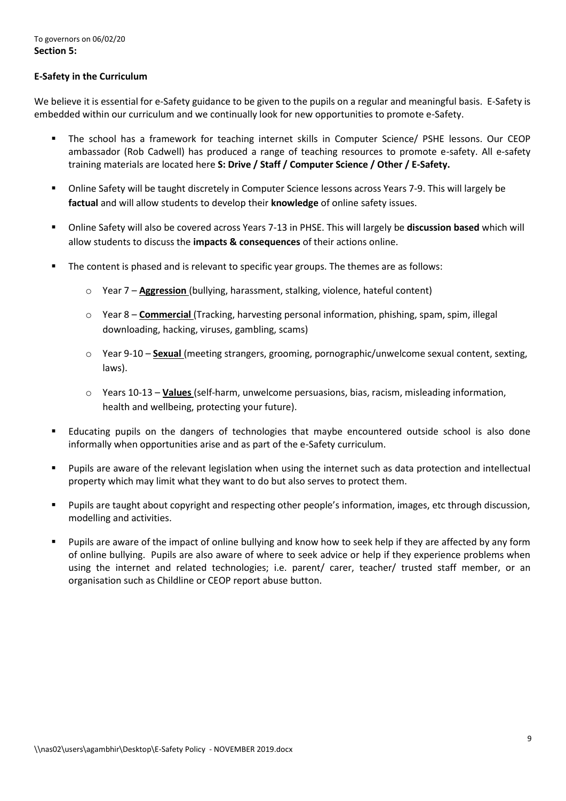## **E-Safety in the Curriculum**

We believe it is essential for e-Safety guidance to be given to the pupils on a regular and meaningful basis. E-Safety is embedded within our curriculum and we continually look for new opportunities to promote e-Safety.

- The school has a framework for teaching internet skills in Computer Science/ PSHE lessons. Our CEOP ambassador (Rob Cadwell) has produced a range of teaching resources to promote e-safety. All e-safety training materials are located here **S: Drive / Staff / Computer Science / Other / E-Safety.**
- Online Safety will be taught discretely in Computer Science lessons across Years 7-9. This will largely be **factual** and will allow students to develop their **knowledge** of online safety issues.
- Online Safety will also be covered across Years 7-13 in PHSE. This will largely be **discussion based** which will allow students to discuss the **impacts & consequences** of their actions online.
- The content is phased and is relevant to specific year groups. The themes are as follows:
	- o Year 7 **Aggression** (bullying, harassment, stalking, violence, hateful content)
	- o Year 8 **Commercial** (Tracking, harvesting personal information, phishing, spam, spim, illegal downloading, hacking, viruses, gambling, scams)
	- o Year 9-10 **Sexual** (meeting strangers, grooming, pornographic/unwelcome sexual content, sexting, laws).
	- o Years 10-13 **Values** (self-harm, unwelcome persuasions, bias, racism, misleading information, health and wellbeing, protecting your future).
- Educating pupils on the dangers of technologies that maybe encountered outside school is also done informally when opportunities arise and as part of the e-Safety curriculum.
- Pupils are aware of the relevant legislation when using the internet such as data protection and intellectual property which may limit what they want to do but also serves to protect them.
- Pupils are taught about copyright and respecting other people's information, images, etc through discussion, modelling and activities.
- Pupils are aware of the impact of online bullying and know how to seek help if they are affected by any form of online bullying. Pupils are also aware of where to seek advice or help if they experience problems when using the internet and related technologies; i.e. parent/ carer, teacher/ trusted staff member, or an organisation such as Childline or CEOP report abuse button.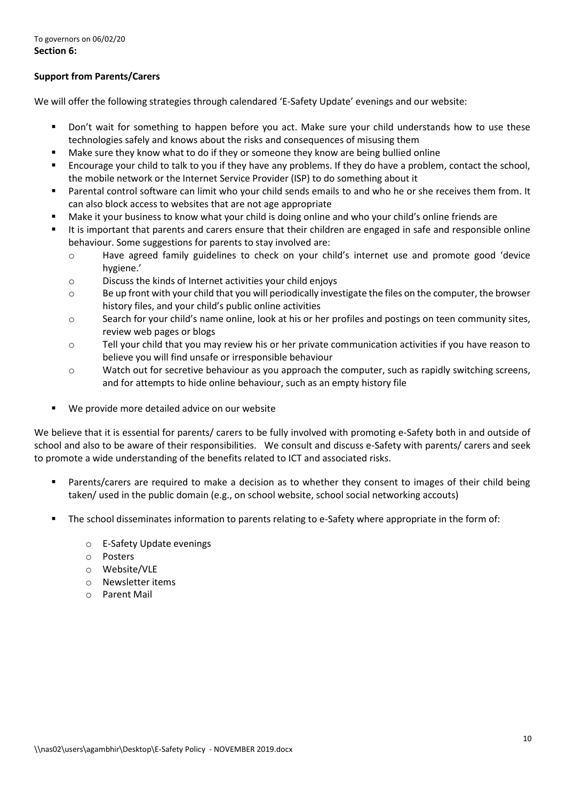## **Support from Parents/Carers**

We will offer the following strategies through calendared 'E-Safety Update' evenings and our website:

- Don't wait for something to happen before you act. Make sure your child understands how to use these technologies safely and knows about the risks and consequences of misusing them
- Make sure they know what to do if they or someone they know are being bullied online
- Encourage your child to talk to you if they have any problems. If they do have a problem, contact the school, the mobile network or the Internet Service Provider (ISP) to do something about it
- Parental control software can limit who your child sends emails to and who he or she receives them from. It can also block access to websites that are not age appropriate
- Make it your business to know what your child is doing online and who your child's online friends are
- It is important that parents and carers ensure that their children are engaged in safe and responsible online behaviour. Some suggestions for parents to stay involved are:
	- o Have agreed family guidelines to check on your child's internet use and promote good 'device hygiene.'
	- o Discuss the kinds of Internet activities your child enjoys
	- $\circ$  Be up front with your child that you will periodically investigate the files on the computer, the browser history files, and your child's public online activities
	- o Search for your child's name online, look at his or her profiles and postings on teen community sites, review web pages or blogs
	- o Tell your child that you may review his or her private communication activities if you have reason to believe you will find unsafe or irresponsible behaviour
	- o Watch out for secretive behaviour as you approach the computer, such as rapidly switching screens, and for attempts to hide online behaviour, such as an empty history file
- We provide more detailed advice on our website

We believe that it is essential for parents/ carers to be fully involved with promoting e-Safety both in and outside of school and also to be aware of their responsibilities. We consult and discuss e-Safety with parents/ carers and seek to promote a wide understanding of the benefits related to ICT and associated risks.

- Parents/carers are required to make a decision as to whether they consent to images of their child being taken/ used in the public domain (e.g., on school website, school social networking accouts)
- The school disseminates information to parents relating to e-Safety where appropriate in the form of:
	- o E-Safety Update evenings
	- o Posters
	- o Website/VLE
	- o Newsletter items
	- o Parent Mail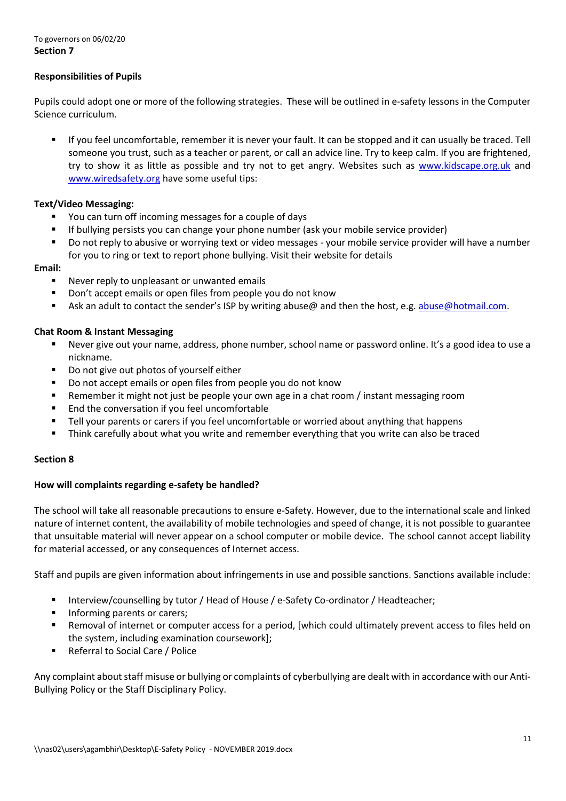## **Responsibilities of Pupils**

Pupils could adopt one or more of the following strategies. These will be outlined in e-safety lessons in the Computer Science curriculum.

 If you feel uncomfortable, remember it is never your fault. It can be stopped and it can usually be traced. Tell someone you trust, such as a teacher or parent, or call an advice line. Try to keep calm. If you are frightened, try to show it as little as possible and try not to get angry. Websites such as [www.kidscape.org.uk](http://www.kidscape.org.uk/) and [www.wiredsafety.org](http://www.wiredsafety.org/) have some useful tips:

## **Text/Video Messaging:**

- You can turn off incoming messages for a couple of days
- If bullying persists you can change your phone number (ask your mobile service provider)
- Do not reply to abusive or worrying text or video messages your mobile service provider will have a number for you to ring or text to report phone bullying. Visit their website for details

#### **Email:**

- Never reply to unpleasant or unwanted emails
- **Don't accept emails or open files from people you do not know**
- Ask an adult to contact the sender's ISP by writing abuse@ and then the host, e.g. [abuse@hotmail.com.](mailto:abuse@hotmail.com)

#### **Chat Room & Instant Messaging**

- Never give out your name, address, phone number, school name or password online. It's a good idea to use a nickname.
- Do not give out photos of yourself either
- Do not accept emails or open files from people you do not know
- Remember it might not just be people your own age in a chat room / instant messaging room
- End the conversation if you feel uncomfortable
- Tell your parents or carers if you feel uncomfortable or worried about anything that happens
- Think carefully about what you write and remember everything that you write can also be traced

#### **Section 8**

#### **How will complaints regarding e-safety be handled?**

The school will take all reasonable precautions to ensure e-Safety. However, due to the international scale and linked nature of internet content, the availability of mobile technologies and speed of change, it is not possible to guarantee that unsuitable material will never appear on a school computer or mobile device. The school cannot accept liability for material accessed, or any consequences of Internet access.

Staff and pupils are given information about infringements in use and possible sanctions. Sanctions available include:

- Interview/counselling by tutor / Head of House / e-Safety Co-ordinator / Headteacher;
- **Informing parents or carers;**
- Removal of internet or computer access for a period, [which could ultimately prevent access to files held on the system, including examination coursework];
- Referral to Social Care / Police

Any complaint about staff misuse or bullying or complaints of cyberbullying are dealt with in accordance with our Anti-Bullying Policy or the Staff Disciplinary Policy.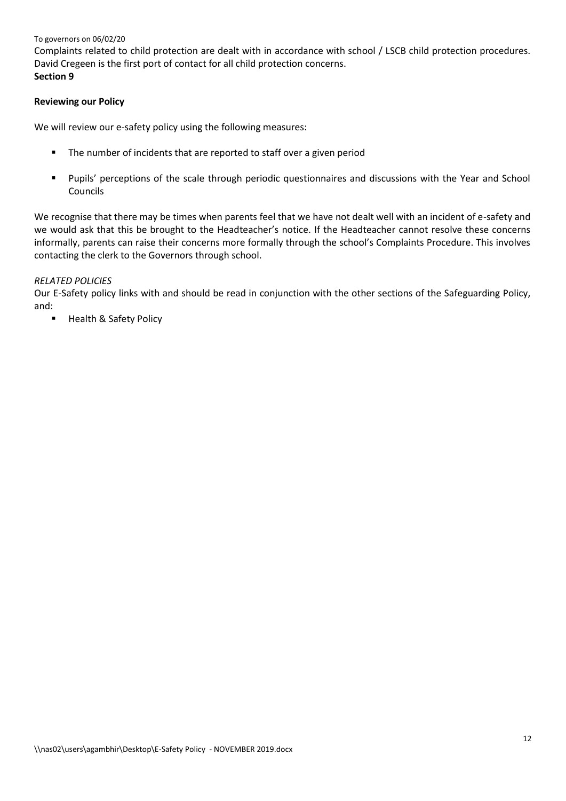To governors on 06/02/20 Complaints related to child protection are dealt with in accordance with school / LSCB child protection procedures. David Cregeen is the first port of contact for all child protection concerns. **Section 9**

## **Reviewing our Policy**

We will review our e-safety policy using the following measures:

- **The number of incidents that are reported to staff over a given period**
- Pupils' perceptions of the scale through periodic questionnaires and discussions with the Year and School Councils

We recognise that there may be times when parents feel that we have not dealt well with an incident of e-safety and we would ask that this be brought to the Headteacher's notice. If the Headteacher cannot resolve these concerns informally, parents can raise their concerns more formally through the school's Complaints Procedure. This involves contacting the clerk to the Governors through school.

## *RELATED POLICIES*

Our E-Safety policy links with and should be read in conjunction with the other sections of the Safeguarding Policy, and:

Health & Safety Policy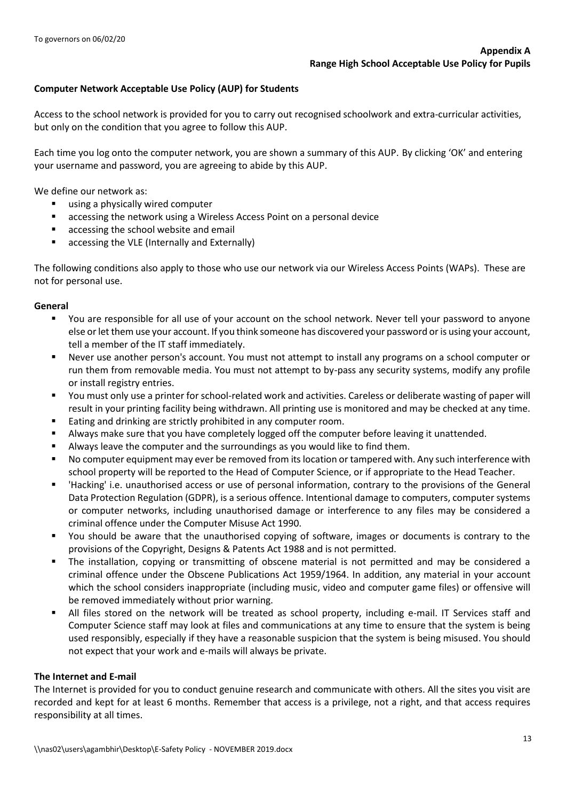## **Computer Network Acceptable Use Policy (AUP) for Students**

Access to the school network is provided for you to carry out recognised schoolwork and extra-curricular activities, but only on the condition that you agree to follow this AUP.

Each time you log onto the computer network, you are shown a summary of this AUP. By clicking 'OK' and entering your username and password, you are agreeing to abide by this AUP.

We define our network as:

- using a physically wired computer
- accessing the network using a Wireless Access Point on a personal device
- accessing the school website and email
- accessing the VLE (Internally and Externally)

The following conditions also apply to those who use our network via our Wireless Access Points (WAPs). These are not for personal use.

#### **General**

- You are responsible for all use of your account on the school network. Never tell your password to anyone else or let them use your account. If you think someone has discovered your password or is using your account, tell a member of the IT staff immediately.
- Never use another person's account. You must not attempt to install any programs on a school computer or run them from removable media. You must not attempt to by-pass any security systems, modify any profile or install registry entries.
- You must only use a printer for school-related work and activities. Careless or deliberate wasting of paper will result in your printing facility being withdrawn. All printing use is monitored and may be checked at any time.
- Eating and drinking are strictly prohibited in any computer room.
- Always make sure that you have completely logged off the computer before leaving it unattended.
- **Always leave the computer and the surroundings as you would like to find them.**
- No computer equipment may ever be removed from its location or tampered with. Any such interference with school property will be reported to the Head of Computer Science, or if appropriate to the Head Teacher.
- 'Hacking' i.e. unauthorised access or use of personal information, contrary to the provisions of the General Data Protection Regulation (GDPR), is a serious offence. Intentional damage to computers, computer systems or computer networks, including unauthorised damage or interference to any files may be considered a criminal offence under the Computer Misuse Act 1990.
- You should be aware that the unauthorised copying of software, images or documents is contrary to the provisions of the Copyright, Designs & Patents Act 1988 and is not permitted.
- The installation, copying or transmitting of obscene material is not permitted and may be considered a criminal offence under the Obscene Publications Act 1959/1964. In addition, any material in your account which the school considers inappropriate (including music, video and computer game files) or offensive will be removed immediately without prior warning.
- All files stored on the network will be treated as school property, including e-mail. IT Services staff and Computer Science staff may look at files and communications at any time to ensure that the system is being used responsibly, especially if they have a reasonable suspicion that the system is being misused. You should not expect that your work and e-mails will always be private.

## **The Internet and E-mail**

The Internet is provided for you to conduct genuine research and communicate with others. All the sites you visit are recorded and kept for at least 6 months. Remember that access is a privilege, not a right, and that access requires responsibility at all times.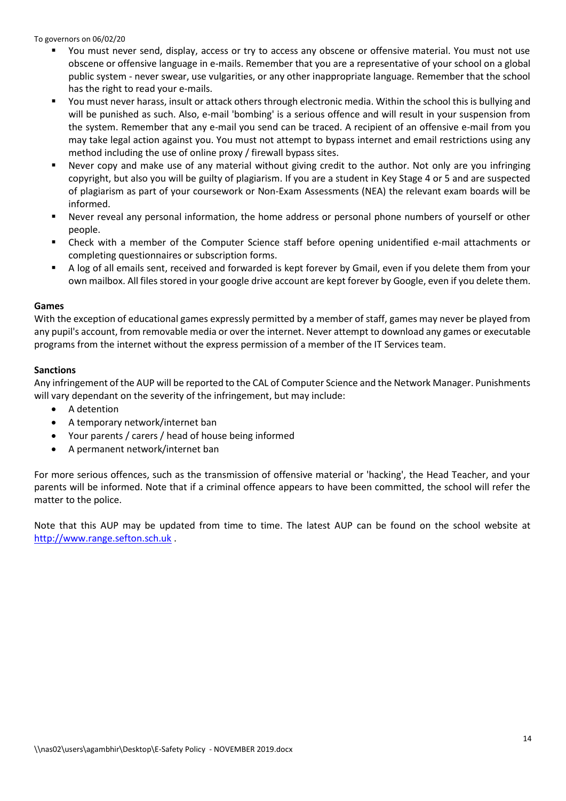- You must never send, display, access or try to access any obscene or offensive material. You must not use obscene or offensive language in e-mails. Remember that you are a representative of your school on a global public system - never swear, use vulgarities, or any other inappropriate language. Remember that the school has the right to read your e-mails.
- You must never harass, insult or attack others through electronic media. Within the school this is bullying and will be punished as such. Also, e-mail 'bombing' is a serious offence and will result in your suspension from the system. Remember that any e-mail you send can be traced. A recipient of an offensive e-mail from you may take legal action against you. You must not attempt to bypass internet and email restrictions using any method including the use of online proxy / firewall bypass sites.
- Never copy and make use of any material without giving credit to the author. Not only are you infringing copyright, but also you will be guilty of plagiarism. If you are a student in Key Stage 4 or 5 and are suspected of plagiarism as part of your coursework or Non-Exam Assessments (NEA) the relevant exam boards will be informed.
- Never reveal any personal information, the home address or personal phone numbers of yourself or other people.
- Check with a member of the Computer Science staff before opening unidentified e-mail attachments or completing questionnaires or subscription forms.
- A log of all emails sent, received and forwarded is kept forever by Gmail, even if you delete them from your own mailbox. All files stored in your google drive account are kept forever by Google, even if you delete them.

#### **Games**

With the exception of educational games expressly permitted by a member of staff, games may never be played from any pupil's account, from removable media or over the internet. Never attempt to download any games or executable programs from the internet without the express permission of a member of the IT Services team.

#### **Sanctions**

Any infringement of the AUP will be reported to the CAL of Computer Science and the Network Manager. Punishments will vary dependant on the severity of the infringement, but may include:

- A detention
- A temporary network/internet ban
- Your parents / carers / head of house being informed
- A permanent network/internet ban

For more serious offences, such as the transmission of offensive material or 'hacking', the Head Teacher, and your parents will be informed. Note that if a criminal offence appears to have been committed, the school will refer the matter to the police.

Note that this AUP may be updated from time to time. The latest AUP can be found on the school website at [http://www.range.sefton.sch.uk](http://www.range.sefton.sch.uk/) .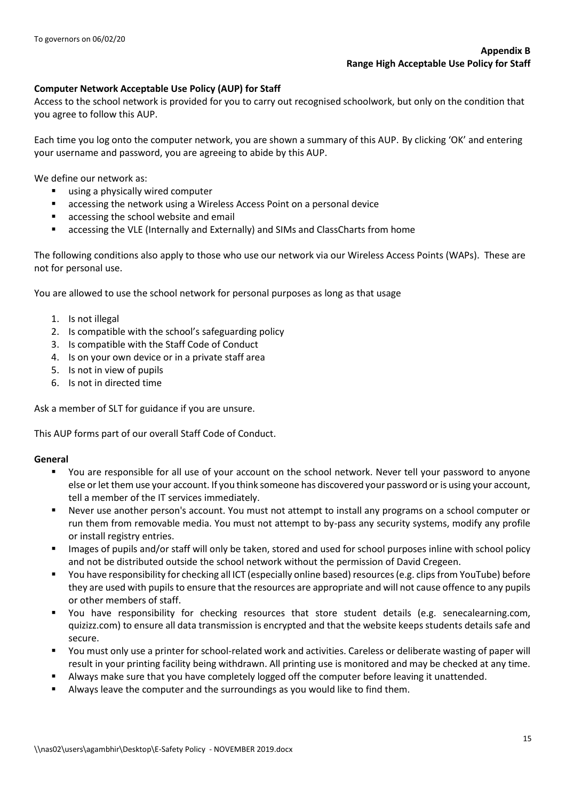## **Computer Network Acceptable Use Policy (AUP) for Staff**

Access to the school network is provided for you to carry out recognised schoolwork, but only on the condition that you agree to follow this AUP.

Each time you log onto the computer network, you are shown a summary of this AUP. By clicking 'OK' and entering your username and password, you are agreeing to abide by this AUP.

We define our network as:

- using a physically wired computer
- accessing the network using a Wireless Access Point on a personal device
- accessing the school website and email
- accessing the VLE (Internally and Externally) and SIMs and ClassCharts from home

The following conditions also apply to those who use our network via our Wireless Access Points (WAPs). These are not for personal use.

You are allowed to use the school network for personal purposes as long as that usage

- 1. Is not illegal
- 2. Is compatible with the school's safeguarding policy
- 3. Is compatible with the Staff Code of Conduct
- 4. Is on your own device or in a private staff area
- 5. Is not in view of pupils
- 6. Is not in directed time

Ask a member of SLT for guidance if you are unsure.

This AUP forms part of our overall Staff Code of Conduct.

## **General**

- You are responsible for all use of your account on the school network. Never tell your password to anyone else or let them use your account. If you think someone has discovered your password or is using your account, tell a member of the IT services immediately.
- Never use another person's account. You must not attempt to install any programs on a school computer or run them from removable media. You must not attempt to by-pass any security systems, modify any profile or install registry entries.
- **IMALA 1998** Images of pupils and/or staff will only be taken, stored and used for school purposes inline with school policy and not be distributed outside the school network without the permission of David Cregeen.
- You have responsibility for checking all ICT (especially online based) resources (e.g. clips from YouTube) before they are used with pupils to ensure that the resources are appropriate and will not cause offence to any pupils or other members of staff.
- You have responsibility for checking resources that store student details (e.g. senecalearning.com, quizizz.com) to ensure all data transmission is encrypted and that the website keeps students details safe and secure.
- You must only use a printer for school-related work and activities. Careless or deliberate wasting of paper will result in your printing facility being withdrawn. All printing use is monitored and may be checked at any time.
- Always make sure that you have completely logged off the computer before leaving it unattended.
- Always leave the computer and the surroundings as you would like to find them.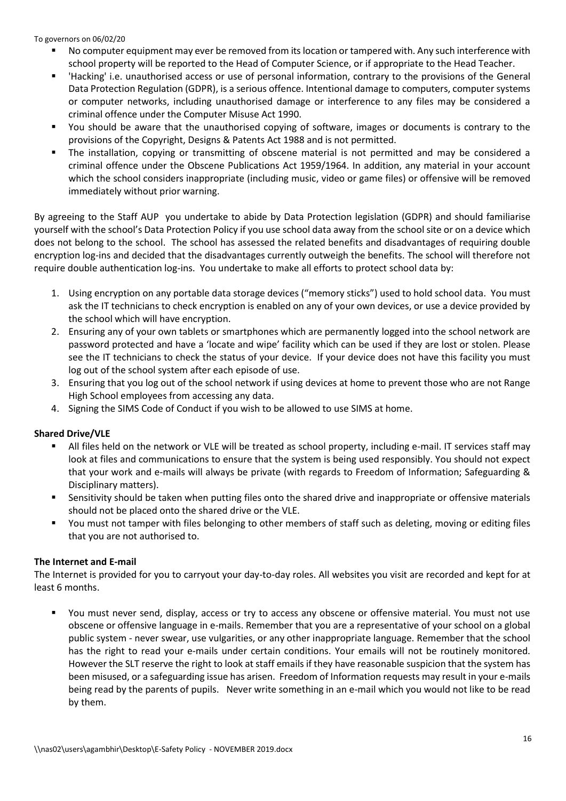- No computer equipment may ever be removed from its location or tampered with. Any such interference with school property will be reported to the Head of Computer Science, or if appropriate to the Head Teacher.
- 'Hacking' i.e. unauthorised access or use of personal information, contrary to the provisions of the General Data Protection Regulation (GDPR), is a serious offence. Intentional damage to computers, computer systems or computer networks, including unauthorised damage or interference to any files may be considered a criminal offence under the Computer Misuse Act 1990.
- You should be aware that the unauthorised copying of software, images or documents is contrary to the provisions of the Copyright, Designs & Patents Act 1988 and is not permitted.
- The installation, copying or transmitting of obscene material is not permitted and may be considered a criminal offence under the Obscene Publications Act 1959/1964. In addition, any material in your account which the school considers inappropriate (including music, video or game files) or offensive will be removed immediately without prior warning.

By agreeing to the Staff AUP you undertake to abide by Data Protection legislation (GDPR) and should familiarise yourself with the school's Data Protection Policy if you use school data away from the school site or on a device which does not belong to the school. The school has assessed the related benefits and disadvantages of requiring double encryption log-ins and decided that the disadvantages currently outweigh the benefits. The school will therefore not require double authentication log-ins. You undertake to make all efforts to protect school data by:

- 1. Using encryption on any portable data storage devices ("memory sticks") used to hold school data. You must ask the IT technicians to check encryption is enabled on any of your own devices, or use a device provided by the school which will have encryption.
- 2. Ensuring any of your own tablets or smartphones which are permanently logged into the school network are password protected and have a 'locate and wipe' facility which can be used if they are lost or stolen. Please see the IT technicians to check the status of your device. If your device does not have this facility you must log out of the school system after each episode of use.
- 3. Ensuring that you log out of the school network if using devices at home to prevent those who are not Range High School employees from accessing any data.
- 4. Signing the SIMS Code of Conduct if you wish to be allowed to use SIMS at home.

## **Shared Drive/VLE**

- All files held on the network or VLE will be treated as school property, including e-mail. IT services staff may look at files and communications to ensure that the system is being used responsibly. You should not expect that your work and e-mails will always be private (with regards to Freedom of Information; Safeguarding & Disciplinary matters).
- Sensitivity should be taken when putting files onto the shared drive and inappropriate or offensive materials should not be placed onto the shared drive or the VLE.
- You must not tamper with files belonging to other members of staff such as deleting, moving or editing files that you are not authorised to.

## **The Internet and E-mail**

The Internet is provided for you to carryout your day-to-day roles. All websites you visit are recorded and kept for at least 6 months.

 You must never send, display, access or try to access any obscene or offensive material. You must not use obscene or offensive language in e-mails. Remember that you are a representative of your school on a global public system - never swear, use vulgarities, or any other inappropriate language. Remember that the school has the right to read your e-mails under certain conditions. Your emails will not be routinely monitored. However the SLT reserve the right to look at staff emails if they have reasonable suspicion that the system has been misused, or a safeguarding issue has arisen. Freedom of Information requests may result in your e-mails being read by the parents of pupils. Never write something in an e-mail which you would not like to be read by them.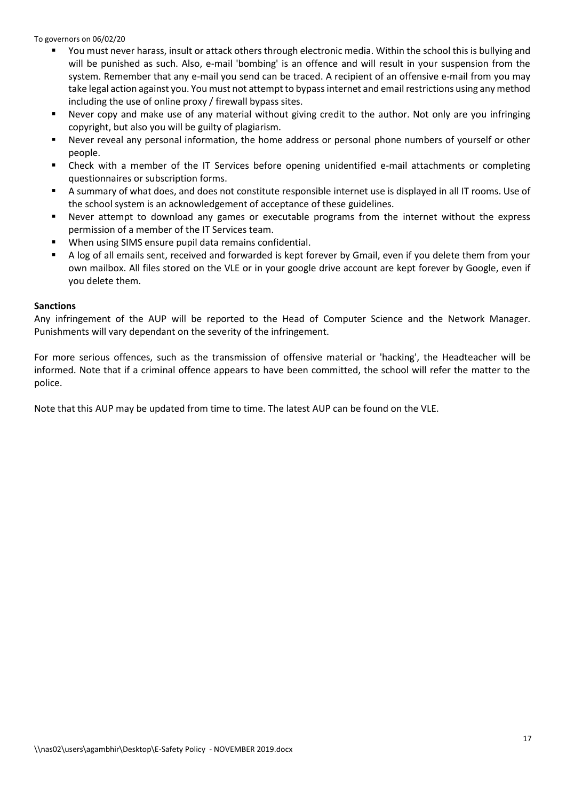- You must never harass, insult or attack others through electronic media. Within the school this is bullying and will be punished as such. Also, e-mail 'bombing' is an offence and will result in your suspension from the system. Remember that any e-mail you send can be traced. A recipient of an offensive e-mail from you may take legal action against you. You must not attempt to bypass internet and email restrictions using any method including the use of online proxy / firewall bypass sites.
- Never copy and make use of any material without giving credit to the author. Not only are you infringing copyright, but also you will be guilty of plagiarism.
- Never reveal any personal information, the home address or personal phone numbers of yourself or other people.
- Check with a member of the IT Services before opening unidentified e-mail attachments or completing questionnaires or subscription forms.
- A summary of what does, and does not constitute responsible internet use is displayed in all IT rooms. Use of the school system is an acknowledgement of acceptance of these guidelines.
- Never attempt to download any games or executable programs from the internet without the express permission of a member of the IT Services team.
- When using SIMS ensure pupil data remains confidential.
- A log of all emails sent, received and forwarded is kept forever by Gmail, even if you delete them from your own mailbox. All files stored on the VLE or in your google drive account are kept forever by Google, even if you delete them.

#### **Sanctions**

Any infringement of the AUP will be reported to the Head of Computer Science and the Network Manager. Punishments will vary dependant on the severity of the infringement.

For more serious offences, such as the transmission of offensive material or 'hacking', the Headteacher will be informed. Note that if a criminal offence appears to have been committed, the school will refer the matter to the police.

Note that this AUP may be updated from time to time. The latest AUP can be found on the VLE.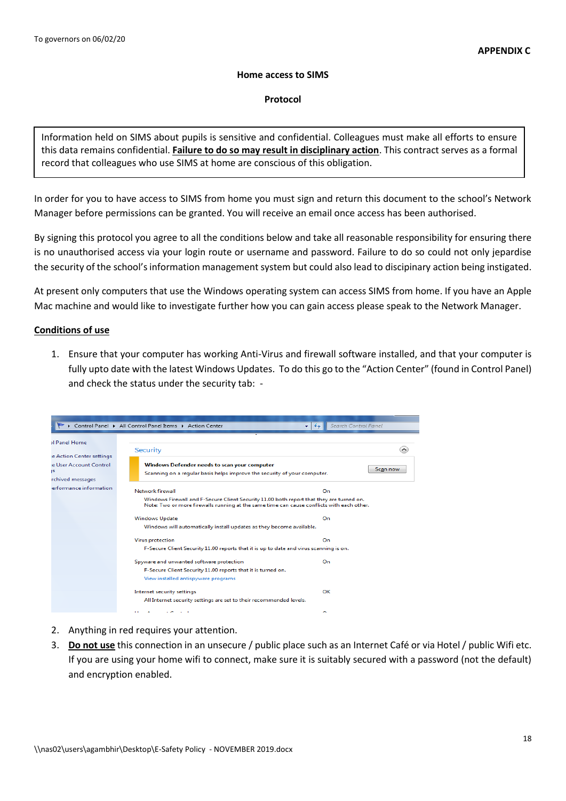#### **Home access to SIMS**

#### **Protocol**

Information held on SIMS about pupils is sensitive and confidential. Colleagues must make all efforts to ensure this data remains confidential. **Failure to do so may result in disciplinary action**. This contract serves as a formal record that colleagues who use SIMS at home are conscious of this obligation.

In order for you to have access to SIMS from home you must sign and return this document to the school's Network Manager before permissions can be granted. You will receive an email once access has been authorised.

By signing this protocol you agree to all the conditions below and take all reasonable responsibility for ensuring there is no unauthorised access via your login route or username and password. Failure to do so could not only jepardise the security of the school's information management system but could also lead to discipinary action being instigated.

At present only computers that use the Windows operating system can access SIMS from home. If you have an Apple Mac machine and would like to investigate further how you can gain access please speak to the Network Manager.

## **Conditions of use**

1. Ensure that your computer has working Anti-Virus and firewall software installed, and that your computer is fully upto date with the latest Windows Updates. To do this go to the "Action Center" (found in Control Panel) and check the status under the security tab: -

|                                                                                                                                | Control Panel > All Control Panel Items > Action Center                                                                                                                               | Search Control Panel<br>$+$<br>▾∣                                                      |               |  |
|--------------------------------------------------------------------------------------------------------------------------------|---------------------------------------------------------------------------------------------------------------------------------------------------------------------------------------|----------------------------------------------------------------------------------------|---------------|--|
| <b>Il Panel Home</b><br>e Action Center settings<br>e User Account Control<br>IS<br>rchived messages<br>erformance information | Security<br>Windows Defender needs to scan your computer<br>Scanning on a regular basis helps improve the security of your computer.                                                  |                                                                                        | ㅅ<br>Scan now |  |
|                                                                                                                                | Network firewall                                                                                                                                                                      | On                                                                                     |               |  |
|                                                                                                                                | Windows Firewall and F-Secure Client Security 11.00 both report that they are turned on.<br>Note: Two or more firewalls running at the same time can cause conflicts with each other. |                                                                                        |               |  |
|                                                                                                                                | <b>Windows Update</b>                                                                                                                                                                 | On                                                                                     |               |  |
|                                                                                                                                |                                                                                                                                                                                       | Windows will automatically install updates as they become available.                   |               |  |
|                                                                                                                                | <b>Virus protection</b>                                                                                                                                                               | On                                                                                     |               |  |
|                                                                                                                                |                                                                                                                                                                                       | F-Secure Client Security 11.00 reports that it is up to date and virus scanning is on. |               |  |
|                                                                                                                                | Spyware and unwanted software protection                                                                                                                                              | On                                                                                     |               |  |
|                                                                                                                                | F-Secure Client Security 11.00 reports that it is turned on.                                                                                                                          |                                                                                        |               |  |
|                                                                                                                                | View installed antispyware programs                                                                                                                                                   |                                                                                        |               |  |
|                                                                                                                                | Internet security settings                                                                                                                                                            | OK                                                                                     |               |  |
|                                                                                                                                | All Internet security settings are set to their recommended levels.                                                                                                                   |                                                                                        |               |  |
|                                                                                                                                |                                                                                                                                                                                       | $\sim$                                                                                 |               |  |

- 2. Anything in red requires your attention.
- 3. **Do not use** this connection in an unsecure / public place such as an Internet Café or via Hotel / public Wifi etc. If you are using your home wifi to connect, make sure it is suitably secured with a password (not the default) and encryption enabled.